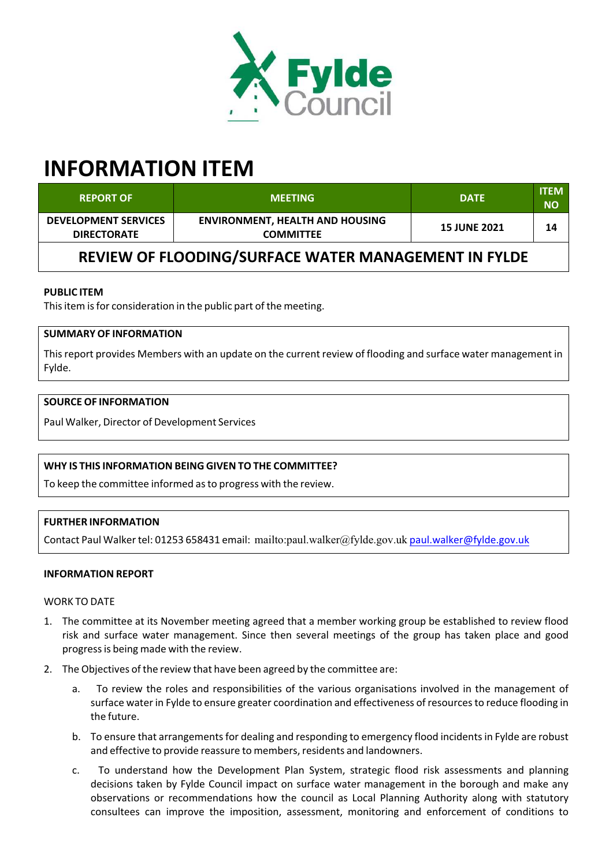

# **INFORMATION ITEM**

| <b>REPORT OF</b>                                     | <b>MEETING</b>                                             | <b>DATE</b>         | <b>ITEM</b><br><b>NO</b> |  |  |
|------------------------------------------------------|------------------------------------------------------------|---------------------|--------------------------|--|--|
| <b>DEVELOPMENT SERVICES</b><br><b>DIRECTORATE</b>    | <b>ENVIRONMENT, HEALTH AND HOUSING</b><br><b>COMMITTEE</b> | <b>15 JUNE 2021</b> | 14                       |  |  |
| REVIEW OF FLOODING/SURFACE WATER MANAGEMENT IN FYLDE |                                                            |                     |                          |  |  |

### **PUBLIC ITEM**

This item is for consideration in the public part of the meeting.

## **SUMMARY OF INFORMATION**

Thisreport provides Members with an update on the current review of flooding and surface water management in Fylde.

#### **SOURCE OF INFORMATION**

Paul Walker, Director of Development Services

#### **WHY IS THIS INFORMATION BEING GIVEN TO THE COMMITTEE?**

To keep the committee informed asto progress with the review.

#### **FURTHER INFORMATION**

Contact Paul Walker tel: 01253 658431 email: mailto:paul.walker@fylde.gov.uk paul.walker@fylde.gov.uk

#### **INFORMATION REPORT**

#### WORK TO DATE

- 1. The committee at its November meeting agreed that a member working group be established to review flood risk and surface water management. Since then several meetings of the group has taken place and good progressis being made with the review.
- 2. The Objectives of the review that have been agreed by the committee are:
	- a. To review the roles and responsibilities of the various organisations involved in the management of surface water in Fylde to ensure greater coordination and effectiveness of resourcesto reduce flooding in the future.
	- b. To ensure that arrangements for dealing and responding to emergency flood incidents in Fylde are robust and effective to provide reassure to members, residents and landowners.
	- c. To understand how the Development Plan System, strategic flood risk assessments and planning decisions taken by Fylde Council impact on surface water management in the borough and make any observations or recommendations how the council as Local Planning Authority along with statutory consultees can improve the imposition, assessment, monitoring and enforcement of conditions to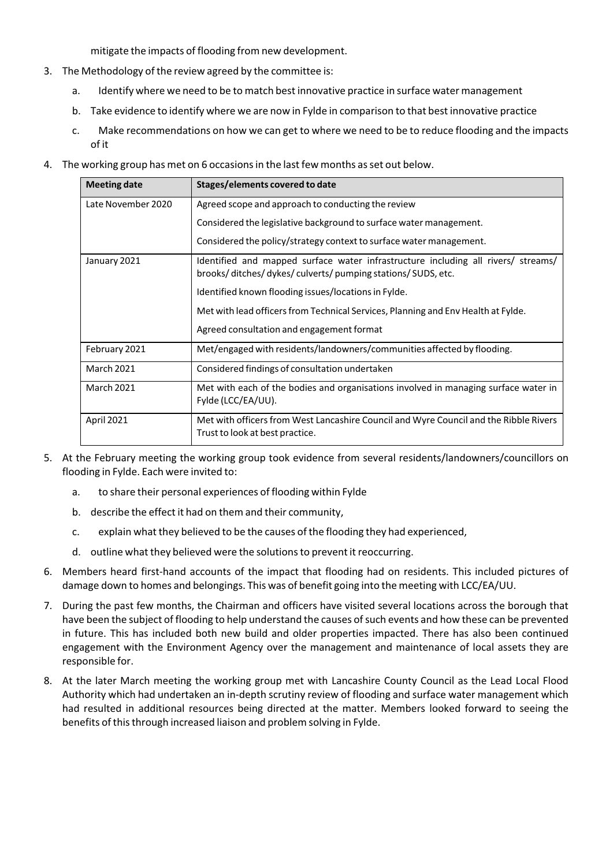mitigate the impacts of flooding from new development.

- 3. The Methodology of the review agreed by the committee is:
	- a. Identify where we need to be to match best innovative practice in surface water management
	- b. Take evidence to identify where we are now in Fylde in comparison to that best innovative practice
	- c. Make recommendations on how we can get to where we need to be to reduce flooding and the impacts of it
- 4. The working group has met on 6 occasionsin the last few months asset out below.

| <b>Meeting date</b> | Stages/elements covered to date                                                                                                                |  |
|---------------------|------------------------------------------------------------------------------------------------------------------------------------------------|--|
| Late November 2020  | Agreed scope and approach to conducting the review                                                                                             |  |
|                     | Considered the legislative background to surface water management.                                                                             |  |
|                     | Considered the policy/strategy context to surface water management.                                                                            |  |
| January 2021        | Identified and mapped surface water infrastructure including all rivers/ streams/<br>brooks/ditches/dykes/culverts/pumping stations/SUDS, etc. |  |
|                     | Identified known flooding issues/locations in Fylde.                                                                                           |  |
|                     | Met with lead officers from Technical Services, Planning and Env Health at Fylde.                                                              |  |
|                     | Agreed consultation and engagement format                                                                                                      |  |
| February 2021       | Met/engaged with residents/landowners/communities affected by flooding.                                                                        |  |
| <b>March 2021</b>   | Considered findings of consultation undertaken                                                                                                 |  |
| <b>March 2021</b>   | Met with each of the bodies and organisations involved in managing surface water in<br>Fylde (LCC/EA/UU).                                      |  |
| April 2021          | Met with officers from West Lancashire Council and Wyre Council and the Ribble Rivers<br>Trust to look at best practice.                       |  |

- 5. At the February meeting the working group took evidence from several residents/landowners/councillors on flooding in Fylde. Each were invited to:
	- a. to share their personal experiences of flooding within Fylde
	- b. describe the effect it had on them and their community,
	- c. explain what they believed to be the causes of the flooding they had experienced,
	- d. outline what they believed were the solutions to prevent it reoccurring.
- 6. Members heard first-hand accounts of the impact that flooding had on residents. This included pictures of damage down to homes and belongings. This was of benefit going into the meeting with LCC/EA/UU.
- 7. During the past few months, the Chairman and officers have visited several locations across the borough that have been the subject of flooding to help understand the causes of such events and how these can be prevented in future. This has included both new build and older properties impacted. There has also been continued engagement with the Environment Agency over the management and maintenance of local assets they are responsible for.
- 8. At the later March meeting the working group met with Lancashire County Council as the Lead Local Flood Authority which had undertaken an in‐depth scrutiny review of flooding and surface water management which had resulted in additional resources being directed at the matter. Members looked forward to seeing the benefits of this through increased liaison and problem solving in Fylde.